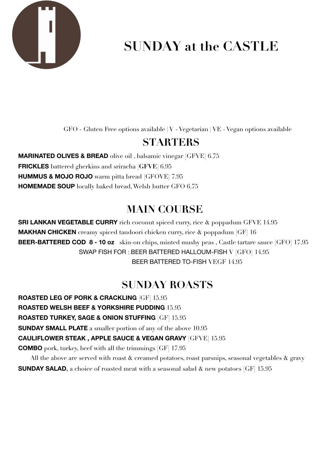

# **SUNDAY at the CASTLE**

GFO - Gluten Free options available | V - Vegetarian | VE - Vegan options available

#### **STARTERS**

**MARINATED OLIVES & BREAD** olive oil , balsamic vinegar [GFVE] 6.75 **FRICKLES** battered gherkins and sriracha **[GFVE]** 6.95 **HUMMUS & MOJO ROJO** warm pitta bread [GFOVE] 7.95 **HOMEMADE SOUP** locally baked bread, Welsh butter GFO 6.75

## **MAIN COURSE**

**SRI LANKAN VEGETABLE CURRY** rich coconut spiced curry, rice  $\&$  poppadum GFVE 14.95 **MAKHAN CHICKEN** creamy spiced tandoori chicken curry, rice & poppadum [GF] 16 **BEER-BATTERED COD 8 - 10 oz** skin-on chips, minted mushy peas , Castle tartare sauce [GFO] 17.95 SWAP FISH FOR : BEER BATTERED HALLOUM-FISH V [GFO] 14.95 BEER BATTERED TO-FISH VEGF 14.95

# **SUNDAY ROASTS**

**ROASTED LEG OF PORK & CRACKLING** [GF] 15.95 **ROASTED WELSH BEEF & YORKSHIRE PUDDING** 15.95 **ROASTED TURKEY, SAGE & ONION STUFFING** [GF] 15.95 **SUNDAY SMALL PLATE** a smaller portion of any of the above 10.95 **CAULIFLOWER STEAK , APPLE SAUCE & VEGAN GRAVY** [GFVE] 15.95 **COMBO** pork, turkey, beef with all the trimmings [GF] 17.95

All the above are served with roast  $\&$  creamed potatoes, roast parsnips, seasonal vegetables  $\&$  gravy **SUNDAY SALAD**, a choice of roasted meat with a seasonal salad  $\&$  new potatoes [GF] 15.95